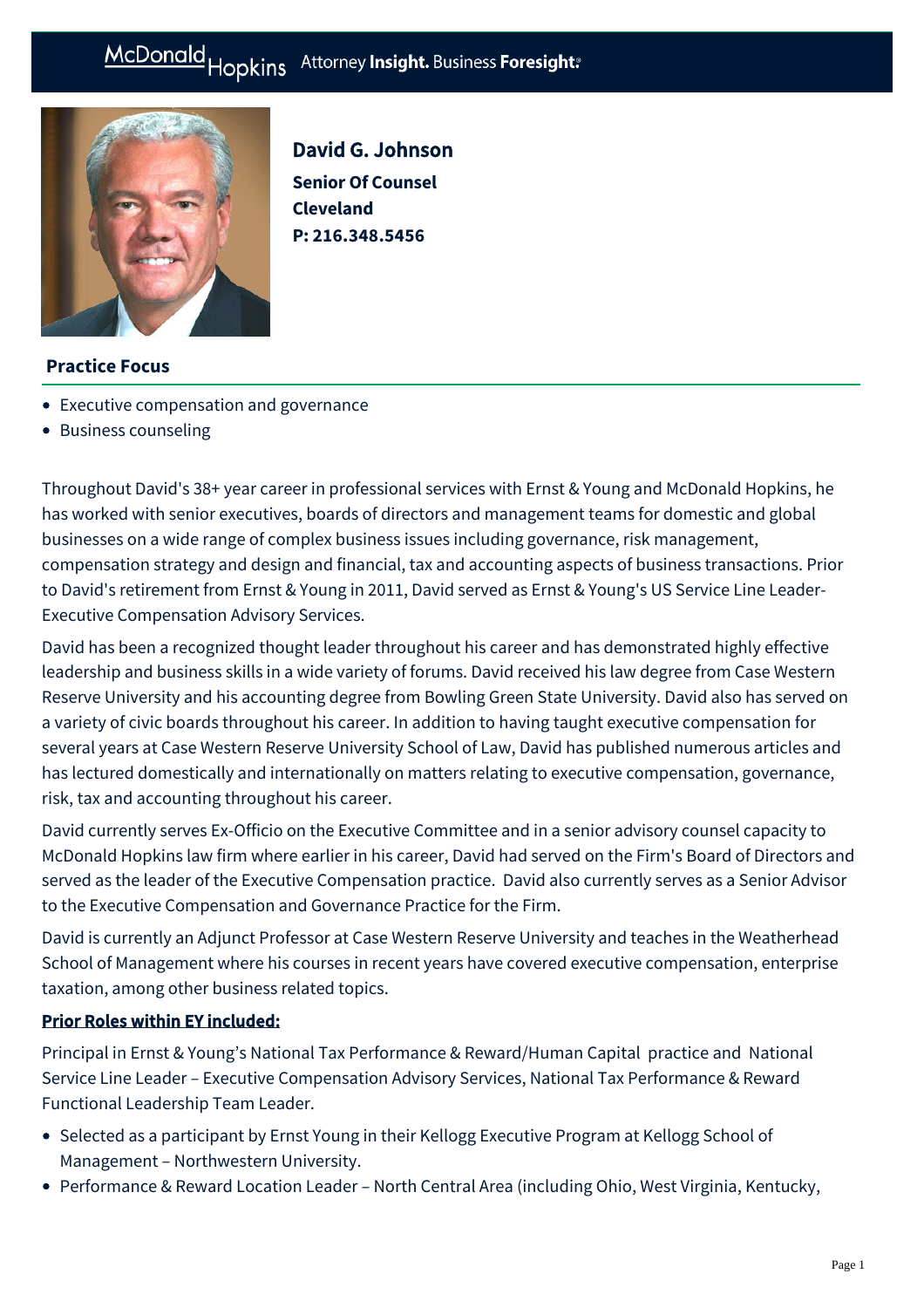# McDonald Hopkins Attorney Insight. Business Foresight:



David G. Johnson **Senior Of Counsel Cleveland P: [216.348.5456](tel:216.348.5456)**

# **Practice Focus**

- [Executive compensation and governance](https://mcdonaldhopkins.com/Expertise/Tax-and-benefits/Executive-compensation-and-governance)
- [Business counseling](https://mcdonaldhopkins.com/Expertise/Business-counseling)

Throughout David's 38+ year career in professional services with Ernst & Young and McDonald Hopkins, he has worked with senior executives, boards of directors and management teams for domestic and global businesses on a wide range of complex business issues including governance, risk management, compensation strategy and design and financial, tax and accounting aspects of business transactions. Prior to David's retirement from Ernst & Young in 2011, David served as Ernst & Young's US Service Line Leader-Executive Compensation Advisory Services.

David has been a recognized thought leader throughout his career and has demonstrated highly effective leadership and business skills in a wide variety of forums. David received his law degree from Case Western Reserve University and his accounting degree from Bowling Green State University. David also has served on a variety of civic boards throughout his career. In addition to having taught executive compensation for several years at Case Western Reserve University School of Law, David has published numerous articles and has lectured domestically and internationally on matters relating to executive compensation, governance, risk, tax and accounting throughout his career.

David currently serves Ex-Officio on the Executive Committee and in a senior advisory counsel capacity to McDonald Hopkins law firm where earlier in his career, David had served on the Firm's Board of Directors and served as the leader of the Executive Compensation practice. David also currently serves as a Senior Advisor to the Executive Compensation and Governance Practice for the Firm.

David is currently an Adjunct Professor at Case Western Reserve University and teaches in the Weatherhead School of Management where his courses in recent years have covered executive compensation, enterprise taxation, among other business related topics.

## Prior Roles within EY included:

Principal in Ernst & Young's National Tax Performance & Reward/Human Capital practice and National Service Line Leader – Executive Compensation Advisory Services, National Tax Performance & Reward Functional Leadership Team Leader.

- Selected as a participant by Ernst Young in their Kellogg Executive Program at Kellogg School of Management – Northwestern University.
- Performance & Reward Location Leader North Central Area (including Ohio, West Virginia, Kentucky,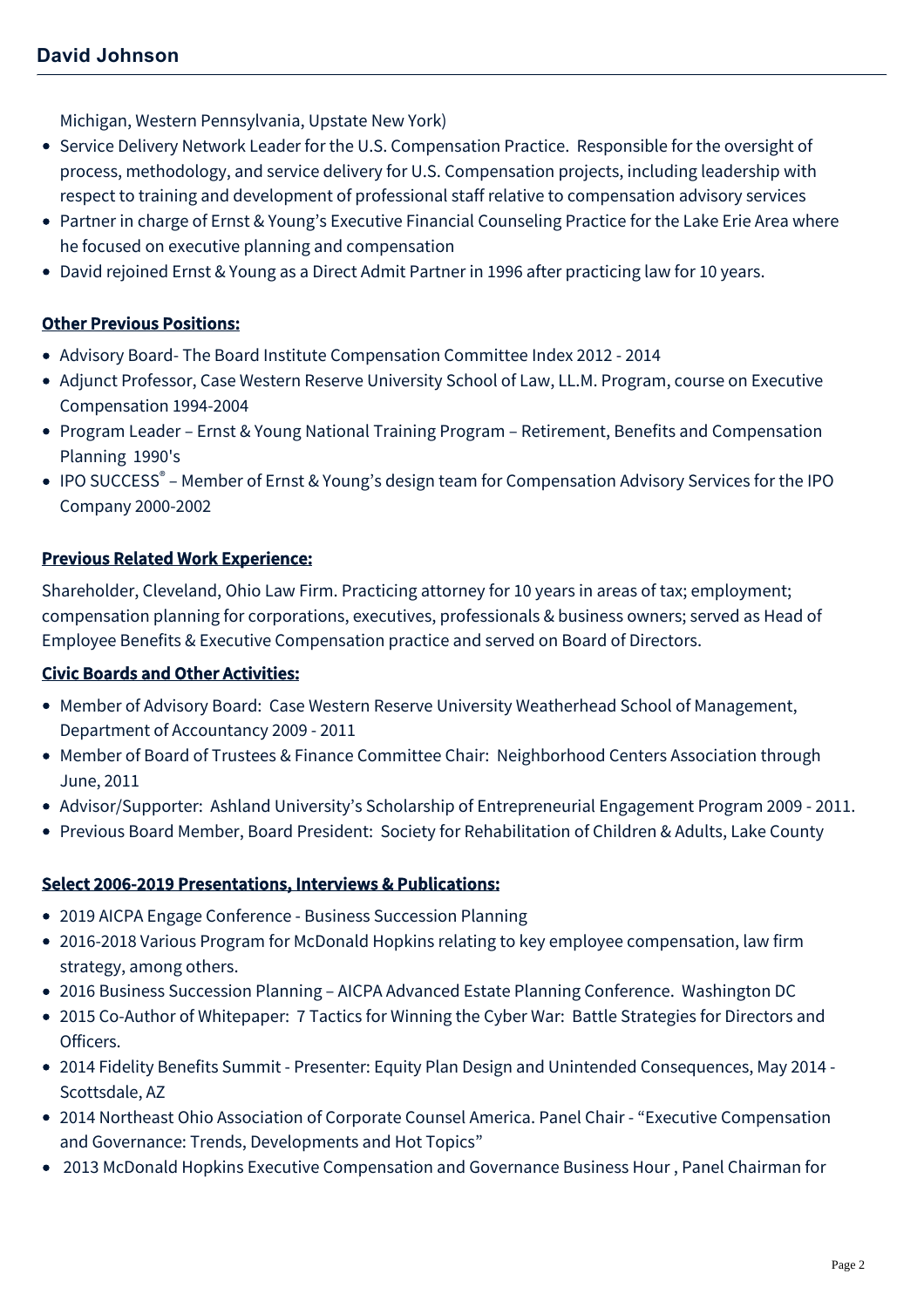Michigan, Western Pennsylvania, Upstate New York)

- Service Delivery Network Leader for the U.S. Compensation Practice. Responsible for the oversight of process, methodology, and service delivery for U.S. Compensation projects, including leadership with respect to training and development of professional staff relative to compensation advisory services
- Partner in charge of Ernst & Young's Executive Financial Counseling Practice for the Lake Erie Area where he focused on executive planning and compensation
- David rejoined Ernst & Young as a Direct Admit Partner in 1996 after practicing law for 10 years.

#### Other Previous Positions:

- Advisory Board- The Board Institute Compensation Committee Index 2012 2014
- Adjunct Professor, Case Western Reserve University School of Law, LL.M. Program, course on Executive Compensation 1994-2004
- Program Leader Ernst & Young National Training Program Retirement, Benefits and Compensation Planning 1990's
- IPO SUCCESS<sup>®</sup> Member of Ernst & Young's design team for Compensation Advisory Services for the IPO Company 2000-2002

## Previous Related Work Experience:

Shareholder, Cleveland, Ohio Law Firm. Practicing attorney for 10 years in areas of tax; employment; compensation planning for corporations, executives, professionals & business owners; served as Head of Employee Benefits & Executive Compensation practice and served on Board of Directors.

#### Civic Boards and Other Activities:

- Member of Advisory Board: Case Western Reserve University Weatherhead School of Management, Department of Accountancy 2009 - 2011
- Member of Board of Trustees & Finance Committee Chair: Neighborhood Centers Association through June, 2011
- Advisor/Supporter: Ashland University's Scholarship of Entrepreneurial Engagement Program 2009 2011.
- Previous Board Member, Board President: Society for Rehabilitation of Children & Adults, Lake County

## Select 2006-2019 Presentations, Interviews & Publications:

- 2019 AICPA Engage Conference Business Succession Planning
- 2016-2018 Various Program for McDonald Hopkins relating to key employee compensation, law firm strategy, among others.
- 2016 Business Succession Planning AICPA Advanced Estate Planning Conference. Washington DC
- 2015 Co-Author of Whitepaper: 7 Tactics for Winning the Cyber War: Battle Strategies for Directors and Officers.
- 2014 Fidelity Benefits Summit Presenter: Equity Plan Design and Unintended Consequences, May 2014 Scottsdale, AZ
- 2014 Northeast Ohio Association of Corporate Counsel America. Panel Chair "Executive Compensation and Governance: Trends, Developments and Hot Topics"
- 2013 McDonald Hopkins Executive Compensation and Governance Business Hour , Panel Chairman for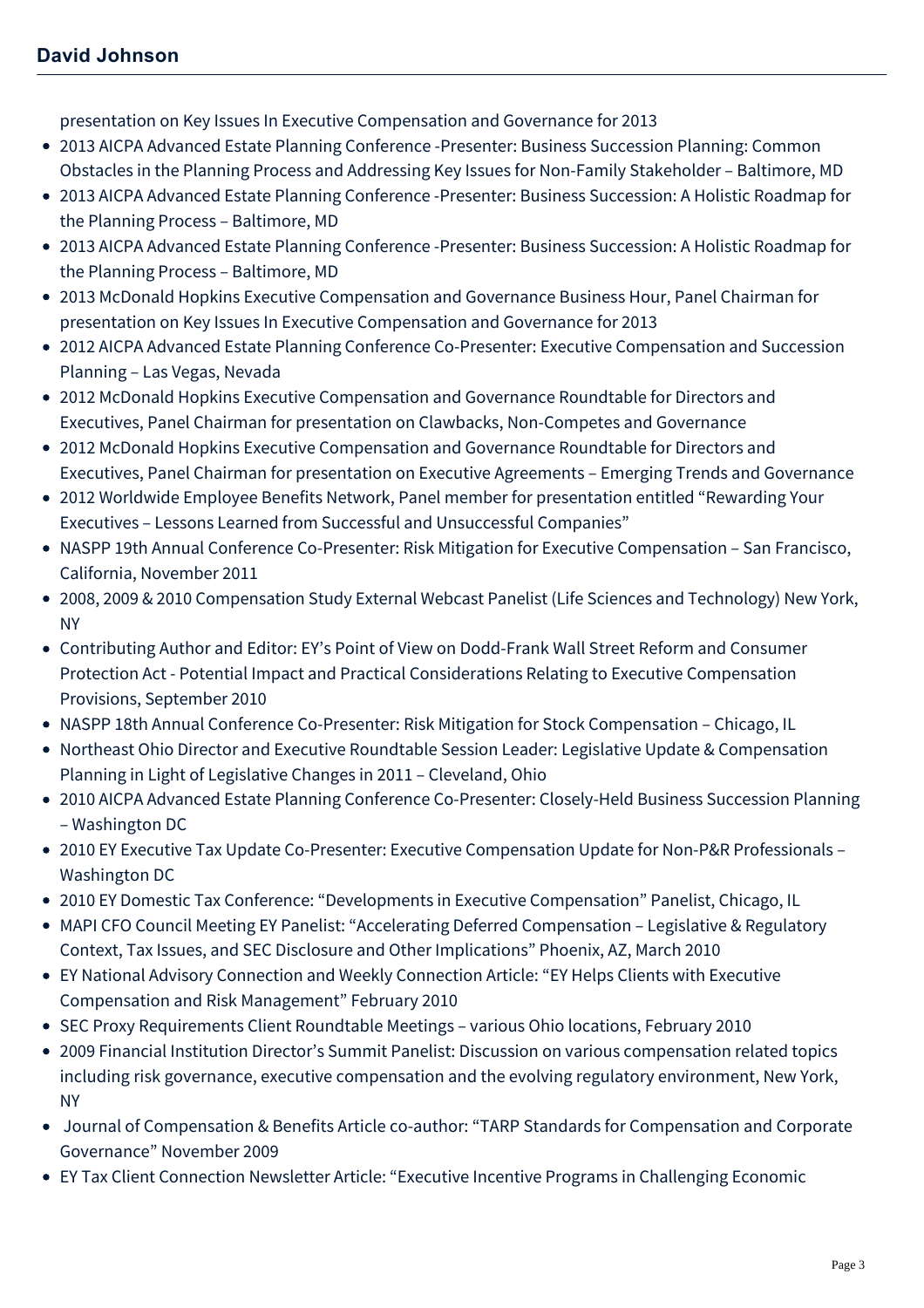presentation on Key Issues In Executive Compensation and Governance for 2013

- 2013 AICPA Advanced Estate Planning Conference -Presenter: Business Succession Planning: Common Obstacles in the Planning Process and Addressing Key Issues for Non-Family Stakeholder – Baltimore, MD
- 2013 AICPA Advanced Estate Planning Conference -Presenter: Business Succession: A Holistic Roadmap for the Planning Process – Baltimore, MD
- 2013 AICPA Advanced Estate Planning Conference -Presenter: Business Succession: A Holistic Roadmap for the Planning Process – Baltimore, MD
- 2013 McDonald Hopkins Executive Compensation and Governance Business Hour, Panel Chairman for presentation on Key Issues In Executive Compensation and Governance for 2013
- 2012 AICPA Advanced Estate Planning Conference Co-Presenter: Executive Compensation and Succession Planning – Las Vegas, Nevada
- 2012 McDonald Hopkins Executive Compensation and Governance Roundtable for Directors and Executives, Panel Chairman for presentation on Clawbacks, Non-Competes and Governance
- 2012 McDonald Hopkins Executive Compensation and Governance Roundtable for Directors and Executives, Panel Chairman for presentation on Executive Agreements – Emerging Trends and Governance
- 2012 Worldwide Employee Benefits Network, Panel member for presentation entitled "Rewarding Your Executives – Lessons Learned from Successful and Unsuccessful Companies"
- NASPP 19th Annual Conference Co-Presenter: Risk Mitigation for Executive Compensation San Francisco, California, November 2011
- 2008, 2009 & 2010 Compensation Study External Webcast Panelist (Life Sciences and Technology) New York, NY
- Contributing Author and Editor: EY's Point of View on Dodd-Frank Wall Street Reform and Consumer Protection Act - Potential Impact and Practical Considerations Relating to Executive Compensation Provisions, September 2010
- NASPP 18th Annual Conference Co-Presenter: Risk Mitigation for Stock Compensation Chicago, IL
- Northeast Ohio Director and Executive Roundtable Session Leader: Legislative Update & Compensation Planning in Light of Legislative Changes in 2011 – Cleveland, Ohio
- 2010 AICPA Advanced Estate Planning Conference Co-Presenter: Closely-Held Business Succession Planning – Washington DC
- 2010 EY Executive Tax Update Co-Presenter: Executive Compensation Update for Non-P&R Professionals Washington DC
- 2010 EY Domestic Tax Conference: "Developments in Executive Compensation" Panelist, Chicago, IL
- MAPI CFO Council Meeting EY Panelist: "Accelerating Deferred Compensation Legislative & Regulatory Context, Tax Issues, and SEC Disclosure and Other Implications" Phoenix, AZ, March 2010
- EY National Advisory Connection and Weekly Connection Article: "EY Helps Clients with Executive Compensation and Risk Management" February 2010
- SEC Proxy Requirements Client Roundtable Meetings various Ohio locations, February 2010
- 2009 Financial Institution Director's Summit Panelist: Discussion on various compensation related topics including risk governance, executive compensation and the evolving regulatory environment, New York, NY
- Journal of Compensation & Benefits Article co-author: "TARP Standards for Compensation and Corporate Governance" November 2009
- EY Tax Client Connection Newsletter Article: "Executive Incentive Programs in Challenging Economic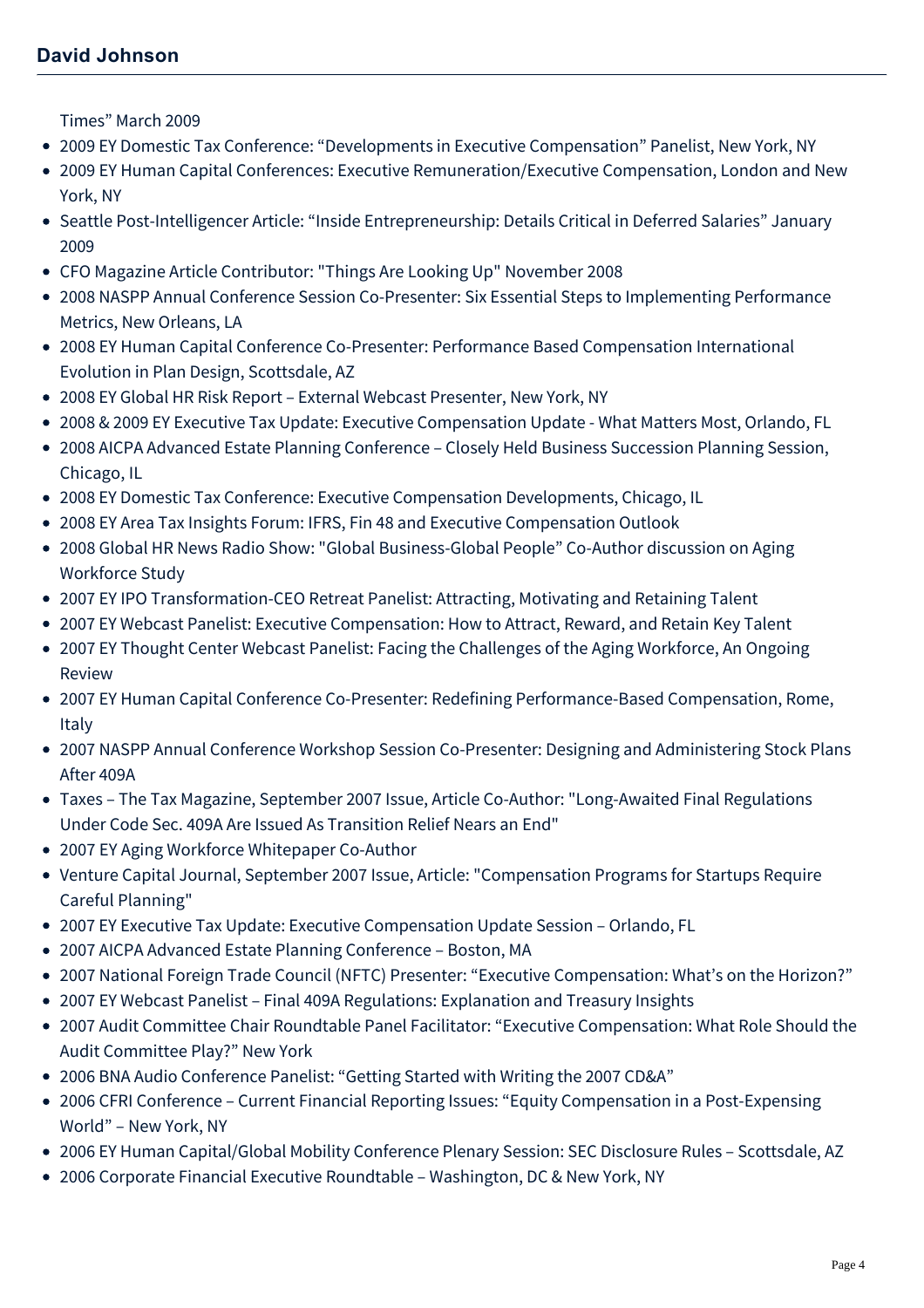Times" March 2009

- 2009 EY Domestic Tax Conference: "Developments in Executive Compensation" Panelist, New York, NY
- 2009 EY Human Capital Conferences: Executive Remuneration/Executive Compensation, London and New York, NY
- Seattle Post-Intelligencer Article: "Inside Entrepreneurship: Details Critical in Deferred Salaries" January 2009
- CFO Magazine Article Contributor: "Things Are Looking Up" November 2008
- 2008 NASPP Annual Conference Session Co-Presenter: Six Essential Steps to Implementing Performance Metrics, New Orleans, LA
- 2008 EY Human Capital Conference Co-Presenter: Performance Based Compensation International Evolution in Plan Design, Scottsdale, AZ
- 2008 EY Global HR Risk Report External Webcast Presenter, New York, NY
- 2008 & 2009 EY Executive Tax Update: Executive Compensation Update What Matters Most, Orlando, FL
- 2008 AICPA Advanced Estate Planning Conference Closely Held Business Succession Planning Session, Chicago, IL
- 2008 EY Domestic Tax Conference: Executive Compensation Developments, Chicago, IL
- 2008 EY Area Tax Insights Forum: IFRS, Fin 48 and Executive Compensation Outlook
- 2008 Global HR News Radio Show: "Global Business-Global People" Co-Author discussion on Aging Workforce Study
- 2007 EY IPO Transformation-CEO Retreat Panelist: Attracting, Motivating and Retaining Talent
- 2007 EY Webcast Panelist: Executive Compensation: How to Attract, Reward, and Retain Key Talent
- 2007 EY Thought Center Webcast Panelist: Facing the Challenges of the Aging Workforce, An Ongoing Review
- 2007 EY Human Capital Conference Co-Presenter: Redefining Performance-Based Compensation, Rome, Italy
- 2007 NASPP Annual Conference Workshop Session Co-Presenter: Designing and Administering Stock Plans After 409A
- Taxes The Tax Magazine, September 2007 Issue, Article Co-Author: "Long-Awaited Final Regulations Under Code Sec. 409A Are Issued As Transition Relief Nears an End"
- 2007 EY Aging Workforce Whitepaper Co-Author
- Venture Capital Journal, September 2007 Issue, Article: "Compensation Programs for Startups Require Careful Planning"
- 2007 EY Executive Tax Update: Executive Compensation Update Session Orlando, FL
- 2007 AICPA Advanced Estate Planning Conference Boston, MA
- 2007 National Foreign Trade Council (NFTC) Presenter: "Executive Compensation: What's on the Horizon?"
- 2007 EY Webcast Panelist Final 409A Regulations: Explanation and Treasury Insights
- 2007 Audit Committee Chair Roundtable Panel Facilitator: "Executive Compensation: What Role Should the Audit Committee Play?" New York
- 2006 BNA Audio Conference Panelist: "Getting Started with Writing the 2007 CD&A"
- 2006 CFRI Conference Current Financial Reporting Issues: "Equity Compensation in a Post-Expensing World" – New York, NY
- 2006 EY Human Capital/Global Mobility Conference Plenary Session: SEC Disclosure Rules Scottsdale, AZ
- 2006 Corporate Financial Executive Roundtable Washington, DC & New York, NY